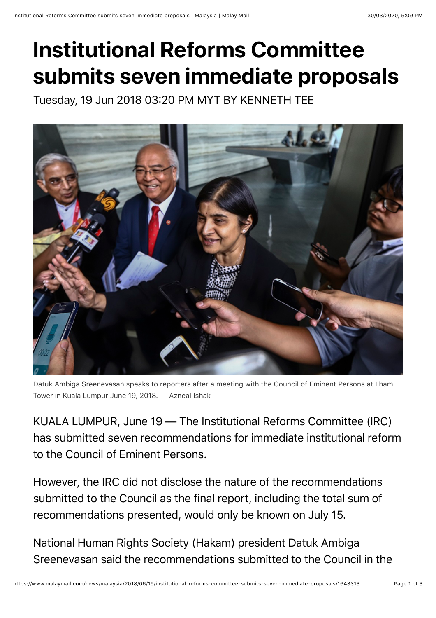## **Institutional Reforms Committee submits seven immediate proposals**

Tuesday, 19 Jun 2018 03:20 PM MYT BY KENNETH TEE



Datuk Ambiga Sreenevasan speaks to reporters after a meeting with the Council of Eminent Persons at Ilham Tower in Kuala Lumpur June 19, 2018. — Azneal Ishak

KUALA LUMPUR, June 19 — The Institutional Reforms Committee (IRC) has submitted seven recommendations for immediate institutional reform to the Council of Eminent Persons.

However, the IRC did not disclose the nature of the recommendations submitted to the Council as the final report, including the total sum of recommendations presented, would only be known on July 15.

National Human Rights Society (Hakam) president Datuk Ambiga Sreenevasan said the recommendations submitted to the Council in the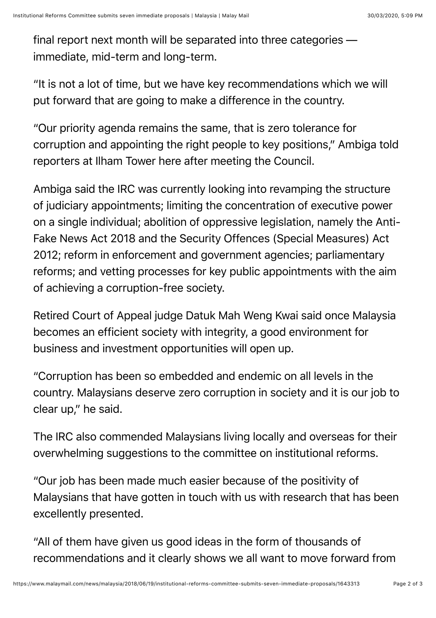final report next month will be separated into three categories immediate, mid-term and long-term.

"It is not a lot of time, but we have key recommendations which we will put forward that are going to make a difference in the country.

"Our priority agenda remains the same, that is zero tolerance for corruption and appointing the right people to key positions," Ambiga told reporters at Ilham Tower here after meeting the Council.

Ambiga said the IRC was currently looking into revamping the structure of judiciary appointments; limiting the concentration of executive power on a single individual; abolition of oppressive legislation, namely the Anti-Fake News Act 2018 and the Security Offences (Special Measures) Act 2012; reform in enforcement and government agencies; parliamentary reforms; and vetting processes for key public appointments with the aim of achieving a corruption-free society.

Retired Court of Appeal judge Datuk Mah Weng Kwai said once Malaysia becomes an efficient society with integrity, a good environment for business and investment opportunities will open up.

"Corruption has been so embedded and endemic on all levels in the country. Malaysians deserve zero corruption in society and it is our job to clear up," he said.

The IRC also commended Malaysians living locally and overseas for their overwhelming suggestions to the committee on institutional reforms.

"Our job has been made much easier because of the positivity of Malaysians that have gotten in touch with us with research that has been excellently presented.

"All of them have given us good ideas in the form of thousands of recommendations and it clearly shows we all want to move forward from